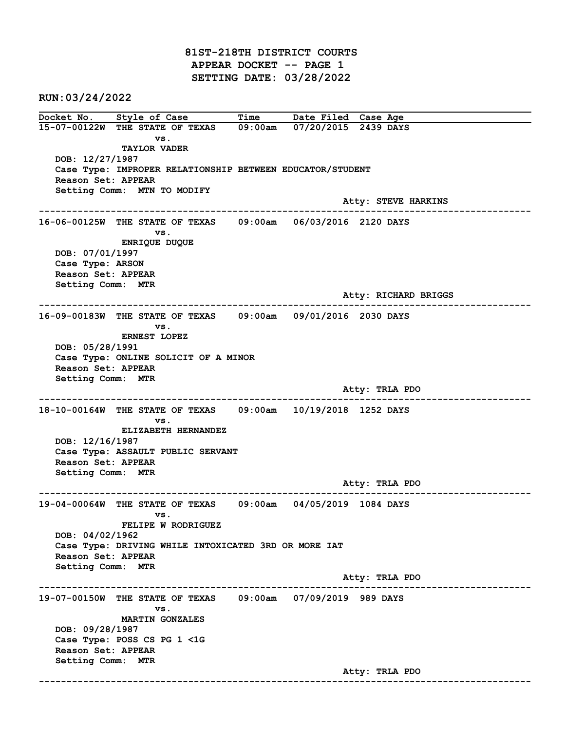81ST-218TH DISTRICT COURTS APPEAR DOCKET -- PAGE 1 SETTING DATE: 03/28/2022

RUN:03/24/2022

Docket No. Style of Case Time Date Filed Case Age 15-07-00122W THE STATE OF TEXAS 09:00am 07/20/2015 2439 DAYS vs. TAYLOR VADER DOB: 12/27/1987 Case Type: IMPROPER RELATIONSHIP BETWEEN EDUCATOR/STUDENT Reason Set: APPEAR Setting Comm: MTN TO MODIFY Atty: STEVE HARKINS ------------------------------------------------------------------------------------------------------------------------ 16-06-00125W THE STATE OF TEXAS 09:00am 06/03/2016 2120 DAYS vs. ENRIQUE DUQUE DOB: 07/01/1997 Case Type: ARSON Reason Set: APPEAR Setting Comm: MTR Atty: RICHARD BRIGGS ------------------------------------------------------------------------------------------------------------------------ 16-09-00183W THE STATE OF TEXAS 09:00am 09/01/2016 2030 DAYS vs. ERNEST LOPEZ DOB: 05/28/1991 Case Type: ONLINE SOLICIT OF A MINOR Reason Set: APPEAR Setting Comm: MTR Atty: TRLA PDO ------------------------------------------------------------------------------------------------------------------------ 18-10-00164W THE STATE OF TEXAS 09:00am 10/19/2018 1252 DAYS vs. ELIZABETH HERNANDEZ DOB: 12/16/1987 Case Type: ASSAULT PUBLIC SERVANT Reason Set: APPEAR Setting Comm: MTR Atty: TRLA PDO ------------------------------------------------------------------------------------------------------------------------ 19-04-00064W THE STATE OF TEXAS 09:00am 04/05/2019 1084 DAYS vs. FELIPE W RODRIGUEZ DOB: 04/02/1962 Case Type: DRIVING WHILE INTOXICATED 3RD OR MORE IAT Reason Set: APPEAR Setting Comm: MTR Atty: TRLA PDO ------------------------------------------------------------------------------------------------------------------------ 19-07-00150W THE STATE OF TEXAS 09:00am 07/09/2019 989 DAYS vs. MARTIN GONZALES DOB: 09/28/1987 Case Type: POSS CS PG 1 <1G Reason Set: APPEAR Setting Comm: MTR Atty: TRLA PDO ------------------------------------------------------------------------------------------------------------------------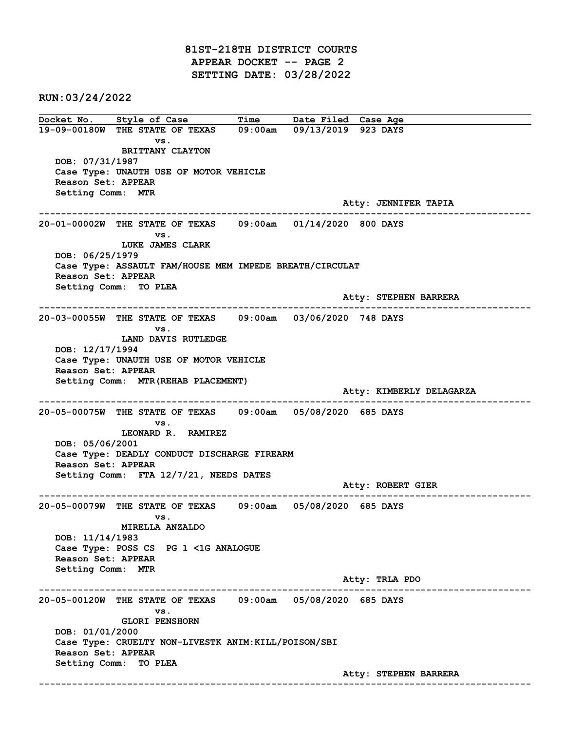81ST-218TH DISTRICT COURTS APPEAR DOCKET -- PAGE 2 SETTING DATE: 03/28/2022

RUN:03/24/2022

Docket No. Style of Case Time Date Filed Case Age 19-09-00180W THE STATE OF TEXAS 09:00am 09/13/2019 923 DAYS vs. BRITTANY CLAYTON DOB: 07/31/1987 Case Type: UNAUTH USE OF MOTOR VEHICLE Reason Set: APPEAR Setting Comm: MTR Atty: JENNIFER TAPIA ------------------------------------------------------------------------------------------------------------------------ 20-01-00002W THE STATE OF TEXAS 09:00am 01/14/2020 800 DAYS vs. LUKE JAMES CLARK DOB: 06/25/1979 Case Type: ASSAULT FAM/HOUSE MEM IMPEDE BREATH/CIRCULAT Reason Set: APPEAR Setting Comm: TO PLEA Atty: STEPHEN BARRERA ------------------------------------------------------------------------------------------------------------------------ 20-03-00055W THE STATE OF TEXAS 09:00am 03/06/2020 748 DAYS vs. LAND DAVIS RUTLEDGE DOB: 12/17/1994 Case Type: UNAUTH USE OF MOTOR VEHICLE Reason Set: APPEAR Setting Comm: MTR(REHAB PLACEMENT) Atty: KIMBERLY DELAGARZA ------------------------------------------------------------------------------------------------------------------------ 20-05-00075W THE STATE OF TEXAS 09:00am 05/08/2020 685 DAYS vs. LEONARD R. RAMIREZ DOB: 05/06/2001 Case Type: DEADLY CONDUCT DISCHARGE FIREARM Reason Set: APPEAR Setting Comm: FTA 12/7/21, NEEDS DATES Atty: ROBERT GIER ------------------------------------------------------------------------------------------------------------------------ 20-05-00079W THE STATE OF TEXAS 09:00am 05/08/2020 685 DAYS vs. MIRELLA ANZALDO DOB: 11/14/1983 Case Type: POSS CS PG 1 <1G ANALOGUE Reason Set: APPEAR Setting Comm: MTR Atty: TRLA PDO ------------------------------------------------------------------------------------------------------------------------ 20-05-00120W THE STATE OF TEXAS 09:00am 05/08/2020 685 DAYS vs. GLORI PENSHORN DOB: 01/01/2000 Case Type: CRUELTY NON-LIVESTK ANIM:KILL/POISON/SBI Reason Set: APPEAR Setting Comm: TO PLEA Atty: STEPHEN BARRERA ------------------------------------------------------------------------------------------------------------------------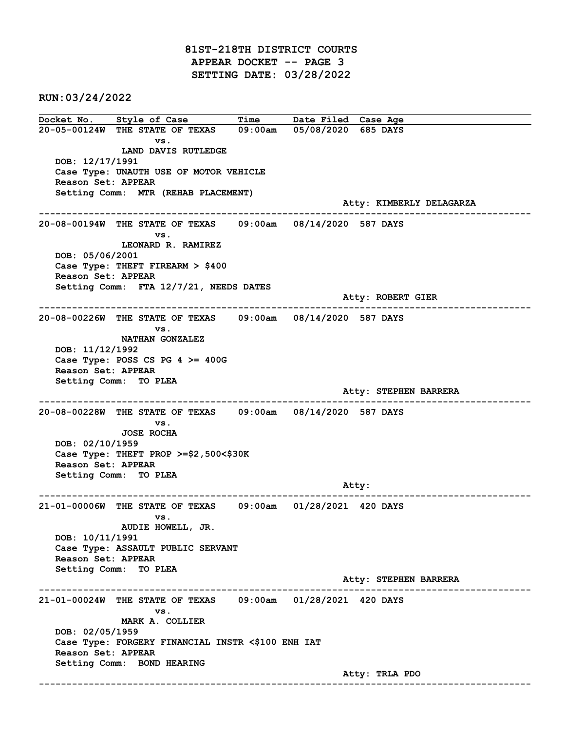81ST-218TH DISTRICT COURTS APPEAR DOCKET -- PAGE 3 SETTING DATE: 03/28/2022

RUN:03/24/2022

Docket No. Style of Case Time Date Filed Case Age 20-05-00124W THE STATE OF TEXAS 09:00am 05/08/2020 685 DAYS vs. LAND DAVIS RUTLEDGE DOB: 12/17/1991 Case Type: UNAUTH USE OF MOTOR VEHICLE Reason Set: APPEAR Setting Comm: MTR (REHAB PLACEMENT) Atty: KIMBERLY DELAGARZA ------------------------------------------------------------------------------------------------------------------------ 20-08-00194W THE STATE OF TEXAS 09:00am 08/14/2020 587 DAYS vs. LEONARD R. RAMIREZ DOB: 05/06/2001 Case Type: THEFT FIREARM > \$400 Reason Set: APPEAR Setting Comm: FTA 12/7/21, NEEDS DATES Atty: ROBERT GIER ------------------------------------------------------------------------------------------------------------------------ 20-08-00226W THE STATE OF TEXAS 09:00am 08/14/2020 587 DAYS vs. NATHAN GONZALEZ DOB: 11/12/1992 Case Type: POSS CS PG  $4 \ge 400$ G Reason Set: APPEAR Setting Comm: TO PLEA Atty: STEPHEN BARRERA ------------------------------------------------------------------------------------------------------------------------ 20-08-00228W THE STATE OF TEXAS 09:00am 08/14/2020 587 DAYS vs. JOSE ROCHA DOB: 02/10/1959 Case Type: THEFT PROP >=\$2,500<\$30K Reason Set: APPEAR Setting Comm: TO PLEA example of the contract of the contract of the contract of the contract of the contract of the contract of the contract of the contract of the contract of the contract of the contract of the contract of the contract of the ------------------------------------------------------------------------------------------------------------------------ 21-01-00006W THE STATE OF TEXAS 09:00am 01/28/2021 420 DAYS vs. AUDIE HOWELL, JR. DOB: 10/11/1991 Case Type: ASSAULT PUBLIC SERVANT Reason Set: APPEAR Setting Comm: TO PLEA Atty: STEPHEN BARRERA ------------------------------------------------------------------------------------------------------------------------ 21-01-00024W THE STATE OF TEXAS 09:00am 01/28/2021 420 DAYS vs. MARK A. COLLIER DOB: 02/05/1959 Case Type: FORGERY FINANCIAL INSTR <\$100 ENH IAT Reason Set: APPEAR Setting Comm: BOND HEARING Atty: TRLA PDO ------------------------------------------------------------------------------------------------------------------------